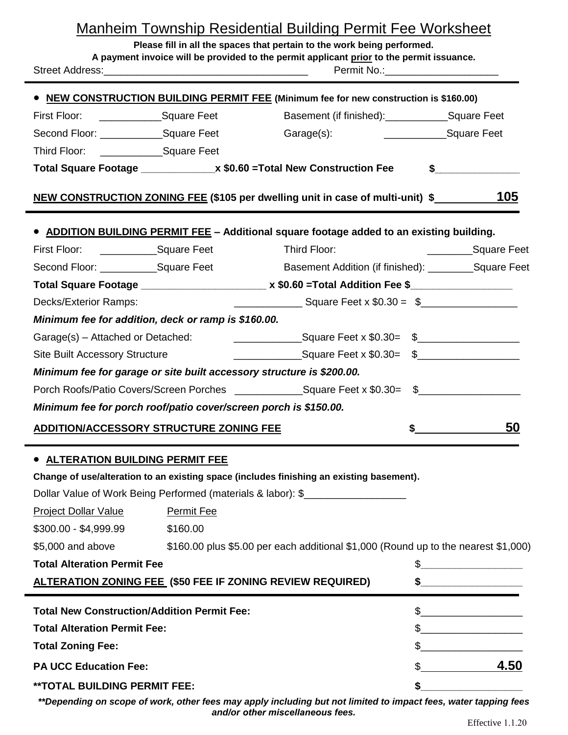| <u>Manheim Township Residential Building Permit Fee Worksheet</u><br>Please fill in all the spaces that pertain to the work being performed.<br>A payment invoice will be provided to the permit applicant prior to the permit issuance.<br>Permit No.: 2008 |            |                                                                                           |  |                 |
|--------------------------------------------------------------------------------------------------------------------------------------------------------------------------------------------------------------------------------------------------------------|------------|-------------------------------------------------------------------------------------------|--|-----------------|
|                                                                                                                                                                                                                                                              |            |                                                                                           |  |                 |
| • NEW CONSTRUCTION BUILDING PERMIT FEE (Minimum fee for new construction is \$160.00)<br>Basement (if finished): Square Feet<br>First Floor: Square Feet                                                                                                     |            |                                                                                           |  |                 |
| Second Floor: _______________Square Feet                                                                                                                                                                                                                     |            | Garage(s): Square Feet                                                                    |  |                 |
| Third Floor: ____________________Square Feet                                                                                                                                                                                                                 |            |                                                                                           |  |                 |
|                                                                                                                                                                                                                                                              |            | Total Square Footage _______________ x \$0.60 = Total New Construction Fee                |  | $\sim$          |
|                                                                                                                                                                                                                                                              |            | NEW CONSTRUCTION ZONING FEE (\$105 per dwelling unit in case of multi-unit) \$            |  | 105             |
|                                                                                                                                                                                                                                                              |            | • ADDITION BUILDING PERMIT FEE - Additional square footage added to an existing building. |  |                 |
| First Floor: ______________________Square Feet                                                                                                                                                                                                               |            | Third Floor:                                                                              |  | Square Feet     |
| Basement Addition (if finished): ___________Square Feet<br>Second Floor: ______________Square Feet                                                                                                                                                           |            |                                                                                           |  |                 |
| Total Square Footage __________________________ x \$0.60 = Total Addition Fee \$_____________________                                                                                                                                                        |            |                                                                                           |  |                 |
| Decks/Exterior Ramps:                                                                                                                                                                                                                                        |            |                                                                                           |  |                 |
| Minimum fee for addition, deck or ramp is \$160.00.                                                                                                                                                                                                          |            |                                                                                           |  |                 |
| Garage(s) - Attached or Detached:                                                                                                                                                                                                                            |            | ________________________Square Feet x \$0.30= \$__________________________________        |  |                 |
| <b>Site Built Accessory Structure</b>                                                                                                                                                                                                                        |            | _______________________Square Feet x \$0.30= \$___________________________________        |  |                 |
| Minimum fee for garage or site built accessory structure is \$200.00.                                                                                                                                                                                        |            |                                                                                           |  |                 |
| Porch Roofs/Patio Covers/Screen Porches Square Feet x \$0.30= \$                                                                                                                                                                                             |            |                                                                                           |  |                 |
| Minimum fee for porch roof/patio cover/screen porch is \$150.00.                                                                                                                                                                                             |            |                                                                                           |  |                 |
| <b>ADDITION/ACCESSORY STRUCTURE ZONING FEE</b>                                                                                                                                                                                                               |            |                                                                                           |  | <u>50</u>       |
| <b>. ALTERATION BUILDING PERMIT FEE</b>                                                                                                                                                                                                                      |            | Change of use/alteration to an existing space (includes finishing an existing basement).  |  |                 |
|                                                                                                                                                                                                                                                              |            | Dollar Value of Work Being Performed (materials & labor): \$                              |  |                 |
| Project Dollar Value                                                                                                                                                                                                                                         | Permit Fee |                                                                                           |  |                 |
| \$300.00 - \$4,999.99                                                                                                                                                                                                                                        | \$160.00   |                                                                                           |  |                 |
| \$5,000 and above                                                                                                                                                                                                                                            |            | \$160.00 plus \$5.00 per each additional \$1,000 (Round up to the nearest \$1,000)        |  |                 |
| <b>Total Alteration Permit Fee</b>                                                                                                                                                                                                                           |            |                                                                                           |  |                 |
| ALTERATION ZONING FEE (\$50 FEE IF ZONING REVIEW REQUIRED)                                                                                                                                                                                                   |            |                                                                                           |  | $\frac{1}{2}$   |
| <b>Total New Construction/Addition Permit Fee:</b>                                                                                                                                                                                                           |            |                                                                                           |  | $\frac{1}{2}$ 5 |
| <b>Total Alteration Permit Fee:</b>                                                                                                                                                                                                                          |            |                                                                                           |  |                 |

**Total Zoning Fee:**  $\text{\$}$ 

**PA UCC Education Fee:**  $\frac{4.50}{2.50}$ 

**\*\*TOTAL BUILDING PERMIT FEE: \$\_\_\_\_\_\_\_\_\_\_\_\_\_\_\_\_\_\_**

*\*\*Depending on scope of work, other fees may apply including but not limited to impact fees, water tapping fees and/or other miscellaneous fees.*